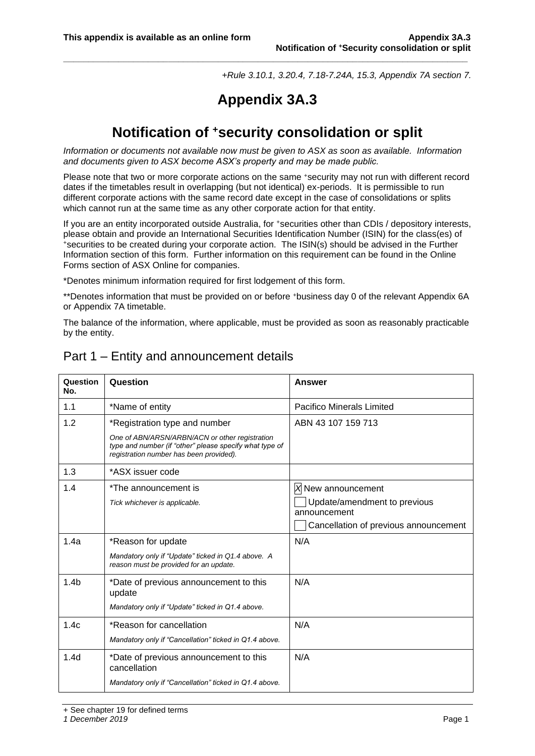*+Rule 3.10.1, 3.20.4, 7.18-7.24A, 15.3, Appendix 7A section 7.*

# **Appendix 3A.3**

**\_\_\_\_\_\_\_\_\_\_\_\_\_\_\_\_\_\_\_\_\_\_\_\_\_\_\_\_\_\_\_\_\_\_\_\_\_\_\_\_\_\_\_\_\_\_\_\_\_\_\_\_\_\_\_\_\_\_\_\_\_\_\_\_\_\_\_\_\_\_\_\_\_\_\_\_\_\_\_\_\_**

## **Notification of <sup>+</sup>security consolidation or split**

*Information or documents not available now must be given to ASX as soon as available. Information and documents given to ASX become ASX's property and may be made public.*

Please note that two or more corporate actions on the same +security may not run with different record dates if the timetables result in overlapping (but not identical) ex-periods. It is permissible to run different corporate actions with the same record date except in the case of consolidations or splits which cannot run at the same time as any other corporate action for that entity.

If you are an entity incorporated outside Australia, for <sup>+</sup>securities other than CDIs / depository interests, please obtain and provide an International Securities Identification Number (ISIN) for the class(es) of <sup>+</sup>securities to be created during your corporate action. The ISIN(s) should be advised in the Further Information section of this form. Further information on this requirement can be found in the Online Forms section of ASX Online for companies.

\*Denotes minimum information required for first lodgement of this form.

\*\*Denotes information that must be provided on or before <sup>+</sup>business day 0 of the relevant Appendix 6A or Appendix 7A timetable.

The balance of the information, where applicable, must be provided as soon as reasonably practicable by the entity.

| Question<br>No.  | Question                                                                                                                                             | Answer                                       |
|------------------|------------------------------------------------------------------------------------------------------------------------------------------------------|----------------------------------------------|
| 1.1              | *Name of entity                                                                                                                                      | <b>Pacifico Minerals Limited</b>             |
| 1.2              | *Registration type and number                                                                                                                        | ABN 43 107 159 713                           |
|                  | One of ABN/ARSN/ARBN/ACN or other registration<br>type and number (if "other" please specify what type of<br>registration number has been provided). |                                              |
| 1.3              | *ASX issuer code                                                                                                                                     |                                              |
| 1.4              | *The announcement is                                                                                                                                 | X New announcement                           |
|                  | Tick whichever is applicable.                                                                                                                        | Update/amendment to previous<br>announcement |
|                  |                                                                                                                                                      | Cancellation of previous announcement        |
| 1.4a             | *Reason for update                                                                                                                                   | N/A                                          |
|                  | Mandatory only if "Update" ticked in Q1.4 above. A<br>reason must be provided for an update.                                                         |                                              |
| 1.4 <sub>b</sub> | *Date of previous announcement to this<br>update                                                                                                     | N/A                                          |
|                  | Mandatory only if "Update" ticked in Q1.4 above.                                                                                                     |                                              |
| 1.4c             | *Reason for cancellation                                                                                                                             | N/A                                          |
|                  | Mandatory only if "Cancellation" ticked in Q1.4 above.                                                                                               |                                              |
| 1.4d             | *Date of previous announcement to this<br>cancellation                                                                                               | N/A                                          |
|                  | Mandatory only if "Cancellation" ticked in Q1.4 above.                                                                                               |                                              |

## Part 1 – Entity and announcement details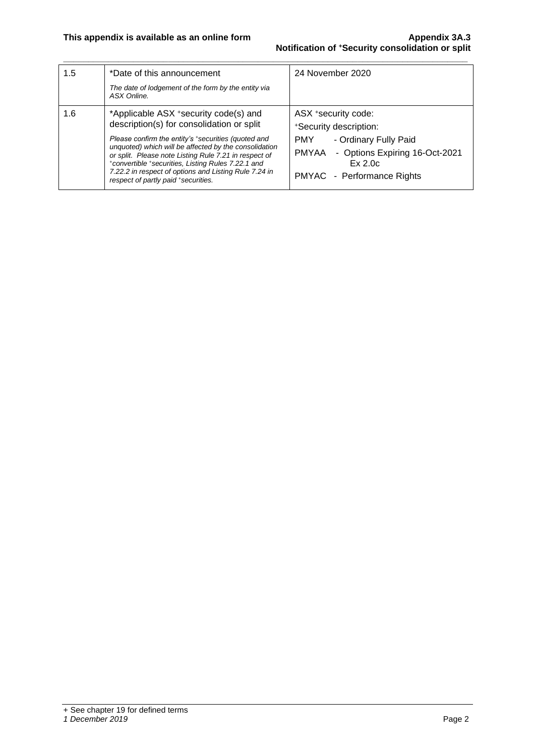| 1.5 | *Date of this announcement                                                                                                                                           | 24 November 2020                                   |  |  |  |  |
|-----|----------------------------------------------------------------------------------------------------------------------------------------------------------------------|----------------------------------------------------|--|--|--|--|
|     | The date of lodgement of the form by the entity via<br>ASX Online.                                                                                                   |                                                    |  |  |  |  |
| 1.6 | *Applicable ASX +security code(s) and                                                                                                                                | ASX *security code:                                |  |  |  |  |
|     | description(s) for consolidation or split                                                                                                                            | *Security description:                             |  |  |  |  |
|     | Please confirm the entity's *securities (quoted and                                                                                                                  | - Ordinary Fully Paid<br><b>PMY</b>                |  |  |  |  |
|     | unquoted) which will be affected by the consolidation<br>or split. Please note Listing Rule 7.21 in respect of<br>*convertible *securities, Listing Rules 7.22.1 and | - Options Expiring 16-Oct-2021<br>PMYAA<br>Ex 2.0c |  |  |  |  |
|     | 7.22.2 in respect of options and Listing Rule 7.24 in<br>respect of partly paid *securities.                                                                         | PMYAC - Performance Rights                         |  |  |  |  |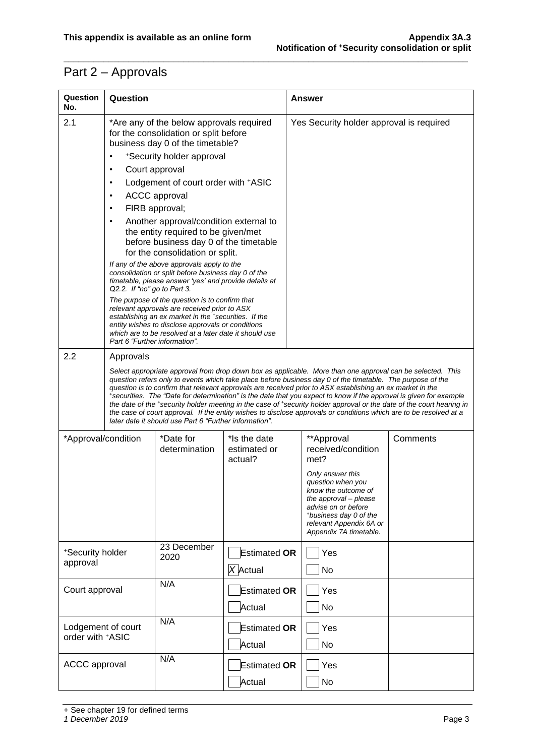## Part 2 – Approvals

| Question<br>No.                        | Question                                                                                                                                                                                                                                                                                                                                                                                                                                                                                                                                                                                                                                                                                                                                                             |                                                                                                                                                                                                                                                                       |                                         | <b>Answer</b>                                                                                                                                                                               |          |  |  |  |
|----------------------------------------|----------------------------------------------------------------------------------------------------------------------------------------------------------------------------------------------------------------------------------------------------------------------------------------------------------------------------------------------------------------------------------------------------------------------------------------------------------------------------------------------------------------------------------------------------------------------------------------------------------------------------------------------------------------------------------------------------------------------------------------------------------------------|-----------------------------------------------------------------------------------------------------------------------------------------------------------------------------------------------------------------------------------------------------------------------|-----------------------------------------|---------------------------------------------------------------------------------------------------------------------------------------------------------------------------------------------|----------|--|--|--|
| 2.1                                    |                                                                                                                                                                                                                                                                                                                                                                                                                                                                                                                                                                                                                                                                                                                                                                      | *Are any of the below approvals required<br>for the consolidation or split before<br>business day 0 of the timetable?                                                                                                                                                 |                                         | Yes Security holder approval is required                                                                                                                                                    |          |  |  |  |
|                                        | ٠                                                                                                                                                                                                                                                                                                                                                                                                                                                                                                                                                                                                                                                                                                                                                                    | *Security holder approval                                                                                                                                                                                                                                             |                                         |                                                                                                                                                                                             |          |  |  |  |
|                                        | Court approval<br>$\bullet$                                                                                                                                                                                                                                                                                                                                                                                                                                                                                                                                                                                                                                                                                                                                          |                                                                                                                                                                                                                                                                       |                                         |                                                                                                                                                                                             |          |  |  |  |
|                                        | $\bullet$                                                                                                                                                                                                                                                                                                                                                                                                                                                                                                                                                                                                                                                                                                                                                            | Lodgement of court order with +ASIC                                                                                                                                                                                                                                   |                                         |                                                                                                                                                                                             |          |  |  |  |
|                                        | $\bullet$                                                                                                                                                                                                                                                                                                                                                                                                                                                                                                                                                                                                                                                                                                                                                            | <b>ACCC</b> approval                                                                                                                                                                                                                                                  |                                         |                                                                                                                                                                                             |          |  |  |  |
|                                        | ٠                                                                                                                                                                                                                                                                                                                                                                                                                                                                                                                                                                                                                                                                                                                                                                    | FIRB approval;                                                                                                                                                                                                                                                        |                                         |                                                                                                                                                                                             |          |  |  |  |
|                                        | ٠                                                                                                                                                                                                                                                                                                                                                                                                                                                                                                                                                                                                                                                                                                                                                                    | Another approval/condition external to<br>the entity required to be given/met<br>before business day 0 of the timetable<br>for the consolidation or split.                                                                                                            |                                         |                                                                                                                                                                                             |          |  |  |  |
|                                        | Q2.2. If "no" go to Part 3.                                                                                                                                                                                                                                                                                                                                                                                                                                                                                                                                                                                                                                                                                                                                          | If any of the above approvals apply to the<br>consolidation or split before business day 0 of the<br>timetable, please answer 'yes' and provide details at                                                                                                            |                                         |                                                                                                                                                                                             |          |  |  |  |
|                                        | Part 6 "Further information".                                                                                                                                                                                                                                                                                                                                                                                                                                                                                                                                                                                                                                                                                                                                        | The purpose of the question is to confirm that<br>relevant approvals are received prior to ASX<br>establishing an ex market in the *securities. If the<br>entity wishes to disclose approvals or conditions<br>which are to be resolved at a later date it should use |                                         |                                                                                                                                                                                             |          |  |  |  |
| 2.2                                    | Approvals                                                                                                                                                                                                                                                                                                                                                                                                                                                                                                                                                                                                                                                                                                                                                            |                                                                                                                                                                                                                                                                       |                                         |                                                                                                                                                                                             |          |  |  |  |
|                                        | Select appropriate approval from drop down box as applicable. More than one approval can be selected. This<br>question refers only to events which take place before business day 0 of the timetable. The purpose of the<br>question is to confirm that relevant approvals are received prior to ASX establishing an ex market in the<br>*securities. The "Date for determination" is the date that you expect to know if the approval is given for example<br>the date of the *security holder meeting in the case of *security holder approval or the date of the court hearing in<br>the case of court approval. If the entity wishes to disclose approvals or conditions which are to be resolved at a<br>later date it should use Part 6 "Further information". |                                                                                                                                                                                                                                                                       |                                         |                                                                                                                                                                                             |          |  |  |  |
| *Approval/condition                    |                                                                                                                                                                                                                                                                                                                                                                                                                                                                                                                                                                                                                                                                                                                                                                      | *Date for<br>determination                                                                                                                                                                                                                                            | *Is the date<br>estimated or<br>actual? | **Approval<br>received/condition<br>met?                                                                                                                                                    | Comments |  |  |  |
|                                        |                                                                                                                                                                                                                                                                                                                                                                                                                                                                                                                                                                                                                                                                                                                                                                      |                                                                                                                                                                                                                                                                       |                                         | Only answer this<br>question when you<br>know the outcome of<br>the approval - please<br>advise on or before<br>*business day 0 of the<br>relevant Appendix 6A or<br>Appendix 7A timetable. |          |  |  |  |
| *Security holder<br>approval           |                                                                                                                                                                                                                                                                                                                                                                                                                                                                                                                                                                                                                                                                                                                                                                      | 23 December<br>2020                                                                                                                                                                                                                                                   | <b>Estimated OR</b>                     | Yes                                                                                                                                                                                         |          |  |  |  |
|                                        |                                                                                                                                                                                                                                                                                                                                                                                                                                                                                                                                                                                                                                                                                                                                                                      |                                                                                                                                                                                                                                                                       | X Actual                                | No                                                                                                                                                                                          |          |  |  |  |
| Court approval                         |                                                                                                                                                                                                                                                                                                                                                                                                                                                                                                                                                                                                                                                                                                                                                                      | N/A                                                                                                                                                                                                                                                                   | <b>Estimated OR</b>                     | Yes                                                                                                                                                                                         |          |  |  |  |
|                                        |                                                                                                                                                                                                                                                                                                                                                                                                                                                                                                                                                                                                                                                                                                                                                                      |                                                                                                                                                                                                                                                                       | Actual                                  | No                                                                                                                                                                                          |          |  |  |  |
| Lodgement of court<br>order with +ASIC |                                                                                                                                                                                                                                                                                                                                                                                                                                                                                                                                                                                                                                                                                                                                                                      | N/A                                                                                                                                                                                                                                                                   | <b>Estimated OR</b>                     | Yes                                                                                                                                                                                         |          |  |  |  |
|                                        |                                                                                                                                                                                                                                                                                                                                                                                                                                                                                                                                                                                                                                                                                                                                                                      |                                                                                                                                                                                                                                                                       | Actual                                  | No                                                                                                                                                                                          |          |  |  |  |
| <b>ACCC</b> approval                   |                                                                                                                                                                                                                                                                                                                                                                                                                                                                                                                                                                                                                                                                                                                                                                      | N/A                                                                                                                                                                                                                                                                   | <b>Estimated OR</b>                     | Yes                                                                                                                                                                                         |          |  |  |  |
|                                        |                                                                                                                                                                                                                                                                                                                                                                                                                                                                                                                                                                                                                                                                                                                                                                      |                                                                                                                                                                                                                                                                       | Actual                                  | No                                                                                                                                                                                          |          |  |  |  |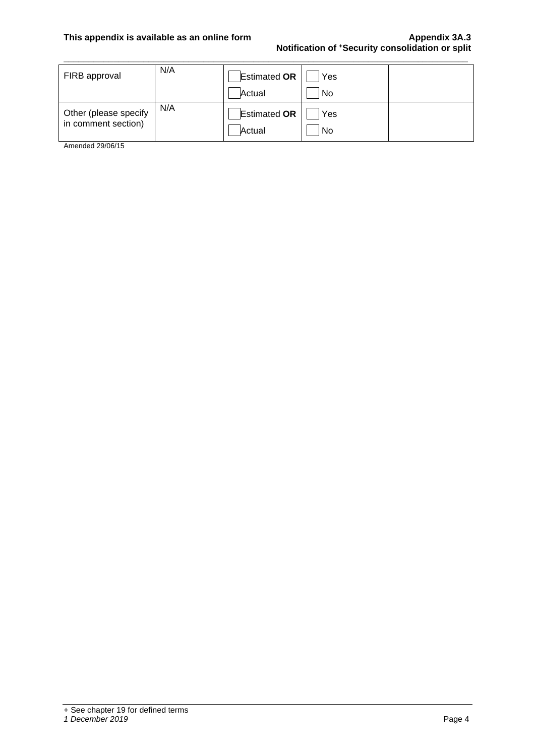### **This appendix is available as an online form Appendix 3A.3 Notification of <sup>+</sup>Security consolidation or split**

| FIRB approval                                | N/A | <b>Estimated OR</b>           | Yes       |  |
|----------------------------------------------|-----|-------------------------------|-----------|--|
|                                              |     | Actual                        | No        |  |
| Other (please specify<br>in comment section) | N/A | <b>Estimated OR</b><br>Actual | Yes<br>No |  |

**\_\_\_\_\_\_\_\_\_\_\_\_\_\_\_\_\_\_\_\_\_\_\_\_\_\_\_\_\_\_\_\_\_\_\_\_\_\_\_\_\_\_\_\_\_\_\_\_\_\_\_\_\_\_\_\_\_\_\_\_\_\_\_\_\_\_\_\_\_\_\_\_\_\_\_\_\_\_\_\_\_**

Amended 29/06/15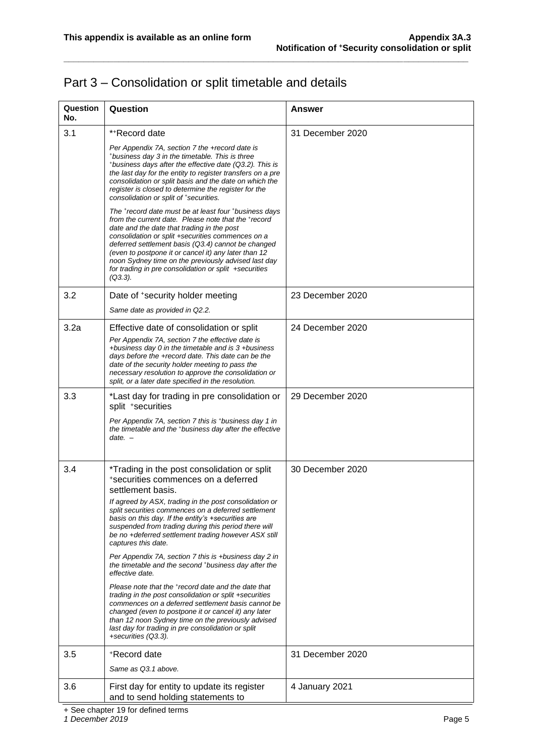## Part 3 – Consolidation or split timetable and details

| Question<br>No. | Question                                                                                                                                                                                                                                                                                                                                                                                                                                                                                                                                                                                                                                                                                                                                                                                                                                                                                                                    | Answer           |
|-----------------|-----------------------------------------------------------------------------------------------------------------------------------------------------------------------------------------------------------------------------------------------------------------------------------------------------------------------------------------------------------------------------------------------------------------------------------------------------------------------------------------------------------------------------------------------------------------------------------------------------------------------------------------------------------------------------------------------------------------------------------------------------------------------------------------------------------------------------------------------------------------------------------------------------------------------------|------------------|
| 3.1             | **Record date<br>Per Appendix 7A, section 7 the +record date is<br>*business day 3 in the timetable. This is three<br>*business days after the effective date (Q3.2). This is<br>the last day for the entity to register transfers on a pre<br>consolidation or split basis and the date on which the<br>register is closed to determine the register for the<br>consolidation or split of *securities.<br>The +record date must be at least four +business days<br>from the current date. Please note that the +record<br>date and the date that trading in the post<br>consolidation or split +securities commences on a<br>deferred settlement basis (Q3.4) cannot be changed<br>(even to postpone it or cancel it) any later than 12<br>noon Sydney time on the previously advised last day<br>for trading in pre consolidation or split +securities<br>$(Q3.3)$ .                                                      | 31 December 2020 |
| 3.2             | Date of *security holder meeting<br>Same date as provided in Q2.2.                                                                                                                                                                                                                                                                                                                                                                                                                                                                                                                                                                                                                                                                                                                                                                                                                                                          | 23 December 2020 |
| 3.2a            | Effective date of consolidation or split<br>Per Appendix 7A, section 7 the effective date is<br>+business day 0 in the timetable and is 3 +business<br>days before the +record date. This date can be the<br>date of the security holder meeting to pass the<br>necessary resolution to approve the consolidation or<br>split, or a later date specified in the resolution.                                                                                                                                                                                                                                                                                                                                                                                                                                                                                                                                                 | 24 December 2020 |
| 3.3             | *Last day for trading in pre consolidation or<br>split *securities<br>Per Appendix 7A, section 7 this is *business day 1 in<br>the timetable and the *business day after the effective<br>$date. -$                                                                                                                                                                                                                                                                                                                                                                                                                                                                                                                                                                                                                                                                                                                         | 29 December 2020 |
| 3.4             | *Trading in the post consolidation or split<br>*securities commences on a deferred<br>settlement basis.<br>If agreed by ASX, trading in the post consolidation or<br>split securities commences on a deferred settlement<br>basis on this day. If the entity's +securities are<br>suspended from trading during this period there will<br>be no +deferred settlement trading however ASX still<br>captures this date.<br>Per Appendix 7A, section 7 this is +business day 2 in<br>the timetable and the second *business day after the<br>effective date.<br>Please note that the *record date and the date that<br>trading in the post consolidation or split +securities<br>commences on a deferred settlement basis cannot be<br>changed (even to postpone it or cancel it) any later<br>than 12 noon Sydney time on the previously advised<br>last day for trading in pre consolidation or split<br>+securities (Q3.3). | 30 December 2020 |
| 3.5             | *Record date<br>Same as Q3.1 above.                                                                                                                                                                                                                                                                                                                                                                                                                                                                                                                                                                                                                                                                                                                                                                                                                                                                                         | 31 December 2020 |
| 3.6             | First day for entity to update its register<br>and to send holding statements to                                                                                                                                                                                                                                                                                                                                                                                                                                                                                                                                                                                                                                                                                                                                                                                                                                            | 4 January 2021   |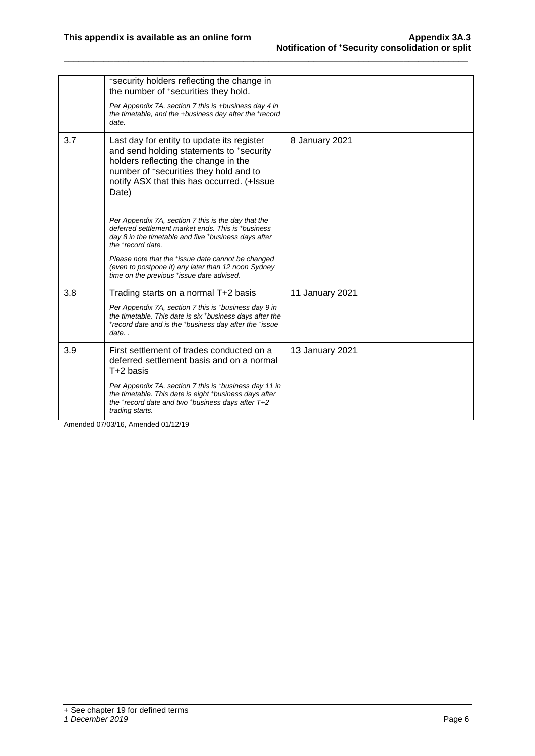|     | *security holders reflecting the change in<br>the number of +securities they hold.                                                                                                                                              |                 |
|-----|---------------------------------------------------------------------------------------------------------------------------------------------------------------------------------------------------------------------------------|-----------------|
|     | Per Appendix 7A, section 7 this is +business day 4 in<br>the timetable, and the +business day after the +record<br>date.                                                                                                        |                 |
| 3.7 | Last day for entity to update its register<br>and send holding statements to +security<br>holders reflecting the change in the<br>number of *securities they hold and to<br>notify ASX that this has occurred. (+Issue<br>Date) | 8 January 2021  |
|     | Per Appendix 7A, section 7 this is the day that the<br>deferred settlement market ends. This is *business<br>day 8 in the timetable and five *business days after<br>the <sup>+</sup> record date.                              |                 |
|     | Please note that the *issue date cannot be changed<br>(even to postpone it) any later than 12 noon Sydney<br>time on the previous *issue date advised.                                                                          |                 |
| 3.8 | Trading starts on a normal T+2 basis                                                                                                                                                                                            | 11 January 2021 |
|     | Per Appendix 7A, section 7 this is *business day 9 in<br>the timetable. This date is six *business days after the<br>*record date and is the *business day after the *issue<br>date                                             |                 |
| 3.9 | First settlement of trades conducted on a<br>deferred settlement basis and on a normal<br>T+2 basis                                                                                                                             | 13 January 2021 |
|     | Per Appendix 7A, section 7 this is *business day 11 in<br>the timetable. This date is eight *business days after<br>the *record date and two *business days after T+2<br>trading starts.                                        |                 |

**\_\_\_\_\_\_\_\_\_\_\_\_\_\_\_\_\_\_\_\_\_\_\_\_\_\_\_\_\_\_\_\_\_\_\_\_\_\_\_\_\_\_\_\_\_\_\_\_\_\_\_\_\_\_\_\_\_\_\_\_\_\_\_\_\_\_\_\_\_\_\_\_\_\_\_\_\_\_\_\_\_**

Amended 07/03/16, Amended 01/12/19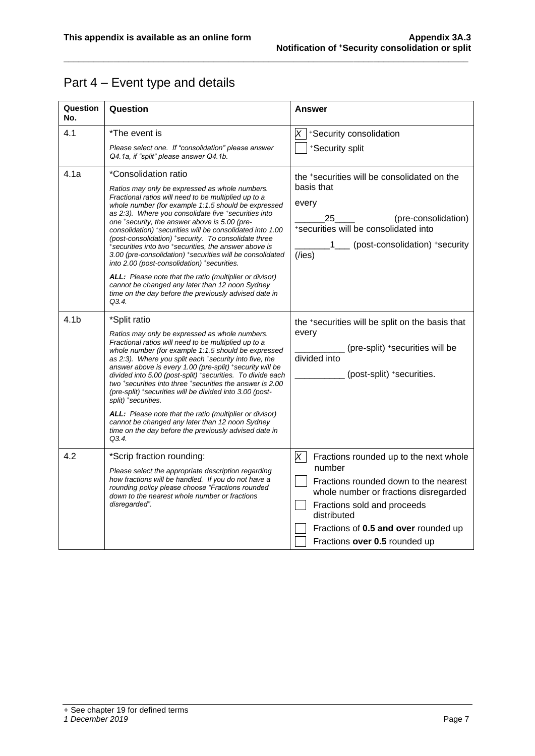## Part 4 – Event type and details

| Question<br>No.  | Question                                                                                                                                                                                                                                                                                                                                                                                                                                                                                                                                                                                                                                                                                                                                                                        | <b>Answer</b>                                                                                                                                                                                                                                                         |
|------------------|---------------------------------------------------------------------------------------------------------------------------------------------------------------------------------------------------------------------------------------------------------------------------------------------------------------------------------------------------------------------------------------------------------------------------------------------------------------------------------------------------------------------------------------------------------------------------------------------------------------------------------------------------------------------------------------------------------------------------------------------------------------------------------|-----------------------------------------------------------------------------------------------------------------------------------------------------------------------------------------------------------------------------------------------------------------------|
| 4.1              | *The event is<br>Please select one. If "consolidation" please answer<br>Q4.1a, if "split" please answer Q4.1b.                                                                                                                                                                                                                                                                                                                                                                                                                                                                                                                                                                                                                                                                  | $ X $ +Security consolidation<br>*Security split                                                                                                                                                                                                                      |
| 4.1a             | *Consolidation ratio<br>Ratios may only be expressed as whole numbers.<br>Fractional ratios will need to be multiplied up to a<br>whole number (for example 1:1.5 should be expressed<br>as 2:3). Where you consolidate five *securities into<br>one *security, the answer above is 5.00 (pre-<br>consolidation) *securities will be consolidated into 1.00<br>(post-consolidation) *security. To consolidate three<br>*securities into two *securities, the answer above is<br>3.00 (pre-consolidation) *securities will be consolidated<br>into 2.00 (post-consolidation) *securities.<br><b>ALL:</b> Please note that the ratio (multiplier or divisor)<br>cannot be changed any later than 12 noon Sydney<br>time on the day before the previously advised date in<br>Q3.4. | the *securities will be consolidated on the<br>basis that<br>every<br>(pre-consolidation)<br>25<br>*securities will be consolidated into<br>1___ (post-consolidation) +security<br>$($ /ies $)$                                                                       |
| 4.1 <sub>b</sub> | *Split ratio<br>Ratios may only be expressed as whole numbers.<br>Fractional ratios will need to be multiplied up to a<br>whole number (for example 1:1.5 should be expressed<br>as 2:3). Where you split each *security into five, the<br>answer above is every 1.00 (pre-split) *security will be<br>divided into 5.00 (post-split) *securities. To divide each<br>two *securities into three *securities the answer is 2.00<br>(pre-split) *securities will be divided into 3.00 (post-<br>split) *securities.<br>ALL: Please note that the ratio (multiplier or divisor)<br>cannot be changed any later than 12 noon Sydney<br>time on the day before the previously advised date in<br>Q3.4.                                                                               | the *securities will be split on the basis that<br>every<br>(pre-split) +securities will be<br>divided into<br>(post-split) +securities.                                                                                                                              |
| 4.2              | *Scrip fraction rounding:<br>Please select the appropriate description regarding<br>how fractions will be handled. If you do not have a<br>rounding policy please choose "Fractions rounded<br>down to the nearest whole number or fractions<br>disregarded".                                                                                                                                                                                                                                                                                                                                                                                                                                                                                                                   | $\times$<br>Fractions rounded up to the next whole<br>number<br>Fractions rounded down to the nearest<br>whole number or fractions disregarded<br>Fractions sold and proceeds<br>distributed<br>Fractions of 0.5 and over rounded up<br>Fractions over 0.5 rounded up |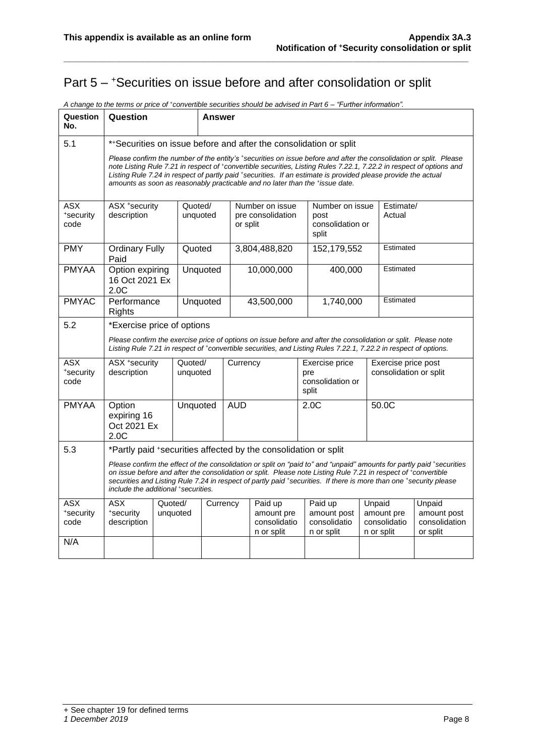## Part 5 – <sup>+</sup>Securities on issue before and after consolidation or split

| Question<br>No.                 | Question                                                                                                                                                                                                                                                                                                                                                                                                                                    |                     | Answer     |                                                                 |                                                    |           |                                                                                                                                                                                                                                    |                                               |                                          |                                                    |
|---------------------------------|---------------------------------------------------------------------------------------------------------------------------------------------------------------------------------------------------------------------------------------------------------------------------------------------------------------------------------------------------------------------------------------------------------------------------------------------|---------------------|------------|-----------------------------------------------------------------|----------------------------------------------------|-----------|------------------------------------------------------------------------------------------------------------------------------------------------------------------------------------------------------------------------------------|-----------------------------------------------|------------------------------------------|----------------------------------------------------|
| 5.1                             | ** Securities on issue before and after the consolidation or split                                                                                                                                                                                                                                                                                                                                                                          |                     |            |                                                                 |                                                    |           |                                                                                                                                                                                                                                    |                                               |                                          |                                                    |
|                                 | Please confirm the number of the entity's *securities on issue before and after the consolidation or split. Please<br>note Listing Rule 7.21 in respect of *convertible securities, Listing Rules 7.22.1, 7.22.2 in respect of options and<br>Listing Rule 7.24 in respect of partly paid *securities. If an estimate is provided please provide the actual<br>amounts as soon as reasonably practicable and no later than the *issue date. |                     |            |                                                                 |                                                    |           |                                                                                                                                                                                                                                    |                                               |                                          |                                                    |
| <b>ASX</b><br>*security<br>code | ASX +security<br>description                                                                                                                                                                                                                                                                                                                                                                                                                | Quoted/             | unquoted   | Number on issue<br>pre consolidation<br>or split                |                                                    |           | Number on issue<br>post<br>consolidation or<br>split                                                                                                                                                                               |                                               | Estimate/<br>Actual                      |                                                    |
| <b>PMY</b>                      | <b>Ordinary Fully</b><br>Paid                                                                                                                                                                                                                                                                                                                                                                                                               | Quoted              |            |                                                                 | 3,804,488,820                                      |           | 152,179,552                                                                                                                                                                                                                        |                                               | Estimated                                |                                                    |
| <b>PMYAA</b>                    | Option expiring<br>16 Oct 2021 Ex<br>2.0C                                                                                                                                                                                                                                                                                                                                                                                                   |                     | Unquoted   | 10,000,000                                                      |                                                    |           | 400,000                                                                                                                                                                                                                            |                                               | Estimated                                |                                                    |
| <b>PMYAC</b>                    | Performance<br><b>Rights</b>                                                                                                                                                                                                                                                                                                                                                                                                                |                     | Unquoted   | 43,500,000                                                      |                                                    | 1,740,000 | Estimated                                                                                                                                                                                                                          |                                               |                                          |                                                    |
| 5.2                             | *Exercise price of options                                                                                                                                                                                                                                                                                                                                                                                                                  |                     |            |                                                                 |                                                    |           |                                                                                                                                                                                                                                    |                                               |                                          |                                                    |
|                                 |                                                                                                                                                                                                                                                                                                                                                                                                                                             |                     |            |                                                                 |                                                    |           | Please confirm the exercise price of options on issue before and after the consolidation or split. Please note<br>Listing Rule 7.21 in respect of *convertible securities, and Listing Rules 7.22.1, 7.22.2 in respect of options. |                                               |                                          |                                                    |
| ASX<br>*security<br>code        | ASX +security<br>description                                                                                                                                                                                                                                                                                                                                                                                                                | Quoted/<br>unquoted | Currency   |                                                                 | Exercise price<br>pre<br>consolidation or<br>split |           |                                                                                                                                                                                                                                    | Exercise price post<br>consolidation or split |                                          |                                                    |
| <b>PMYAA</b>                    | Option<br>expiring 16<br>Oct 2021 Ex<br>2.0C                                                                                                                                                                                                                                                                                                                                                                                                | Unquoted            | <b>AUD</b> |                                                                 |                                                    | 2.0C      |                                                                                                                                                                                                                                    | 50.0C                                         |                                          |                                                    |
| 5.3                             | *Partly paid +securities affected by the consolidation or split                                                                                                                                                                                                                                                                                                                                                                             |                     |            |                                                                 |                                                    |           |                                                                                                                                                                                                                                    |                                               |                                          |                                                    |
|                                 | Please confirm the effect of the consolidation or split on "paid to" and "unpaid" amounts for partly paid *securities<br>on issue before and after the consolidation or split. Please note Listing Rule 7.21 in respect of *convertible<br>securities and Listing Rule 7.24 in respect of partly paid *securities. If there is more than one *security please<br>include the additional *securities.                                        |                     |            |                                                                 |                                                    |           |                                                                                                                                                                                                                                    |                                               |                                          |                                                    |
| ASX<br>*security<br>code        | <b>ASX</b><br>*security<br>description                                                                                                                                                                                                                                                                                                                                                                                                      | Quoted/<br>unquoted |            | Currency<br>Paid up<br>amount pre<br>consolidatio<br>n or split |                                                    |           | Paid up<br>amount post<br>consolidatio<br>n or split                                                                                                                                                                               | Unpaid                                        | amount pre<br>consolidatio<br>n or split | Unpaid<br>amount post<br>consolidation<br>or split |
| N/A                             |                                                                                                                                                                                                                                                                                                                                                                                                                                             |                     |            |                                                                 |                                                    |           |                                                                                                                                                                                                                                    |                                               |                                          |                                                    |

*A change to the terms or price of <sup>+</sup>convertible securities should be advised in Part 6 – "Further information".*